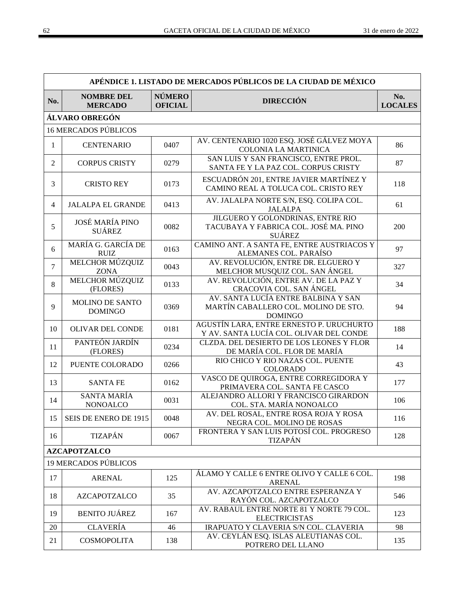|                | APÉNDICE 1. LISTADO DE MERCADOS PÚBLICOS DE LA CIUDAD DE MÉXICO |                                 |                                                                                               |                       |  |
|----------------|-----------------------------------------------------------------|---------------------------------|-----------------------------------------------------------------------------------------------|-----------------------|--|
| No.            | <b>NOMBRE DEL</b><br><b>MERCADO</b>                             | <b>NÚMERO</b><br><b>OFICIAL</b> | <b>DIRECCIÓN</b>                                                                              | No.<br><b>LOCALES</b> |  |
|                | ÁLVARO OBREGÓN                                                  |                                 |                                                                                               |                       |  |
|                | <b>16 MERCADOS PÚBLICOS</b>                                     |                                 |                                                                                               |                       |  |
| $\mathbf{1}$   | <b>CENTENARIO</b>                                               | 0407                            | AV. CENTENARIO 1020 ESQ. JOSÉ GÁLVEZ MOYA<br>COLONIA LA MARTINICA                             | 86                    |  |
| $\overline{2}$ | <b>CORPUS CRISTY</b>                                            | 0279                            | SAN LUIS Y SAN FRANCISCO, ENTRE PROL.<br>SANTA FE Y LA PAZ COL. CORPUS CRISTY                 | 87                    |  |
| 3              | <b>CRISTO REY</b>                                               | 0173                            | ESCUADRÓN 201, ENTRE JAVIER MARTÍNEZ Y<br>CAMINO REAL A TOLUCA COL. CRISTO REY                | 118                   |  |
| $\overline{4}$ | <b>JALALPA EL GRANDE</b>                                        | 0413                            | AV. JALALPA NORTE S/N, ESQ. COLIPA COL.<br><b>JALALPA</b>                                     | 61                    |  |
| 5              | <b>JOSÉ MARÍA PINO</b><br><b>SUÁREZ</b>                         | 0082                            | JILGUERO Y GOLONDRINAS, ENTRE RIO<br>TACUBAYA Y FABRICA COL. JOSÉ MA. PINO<br><b>SUÁREZ</b>   | 200                   |  |
| 6              | MARÍA G. GARCÍA DE<br><b>RUIZ</b>                               | 0163                            | CAMINO ANT. A SANTA FE, ENTRE AUSTRIACOS Y<br>ALEMANES COL. PARAÍSO                           | 97                    |  |
| $\overline{7}$ | MELCHOR MÚZQUIZ<br><b>ZONA</b>                                  | 0043                            | AV. REVOLUCIÓN, ENTRE DR. ELGUERO Y<br>MELCHOR MUSQUIZ COL. SAN ÁNGEL                         | 327                   |  |
| 8              | MELCHOR MÚZQUIZ<br>(FLORES)                                     | 0133                            | AV. REVOLUCIÓN, ENTRE AV. DE LA PAZ Y<br>CRACOVIA COL. SAN ÁNGEL                              | 34                    |  |
| 9              | MOLINO DE SANTO<br><b>DOMINGO</b>                               | 0369                            | AV. SANTA LUCÍA ENTRE BALBINA Y SAN<br>MARTÍN CABALLERO COL. MOLINO DE STO.<br><b>DOMINGO</b> | 94                    |  |
| 10             | <b>OLIVAR DEL CONDE</b>                                         | 0181                            | AGUSTÍN LARA, ENTRE ERNESTO P. URUCHURTO<br>Y AV. SANTA LUCÍA COL. OLIVAR DEL CONDE           | 188                   |  |
| 11             | PANTEÓN JARDÍN<br>(FLORES)                                      | 0234                            | CLZDA. DEL DESIERTO DE LOS LEONES Y FLOR<br>DE MARÍA COL. FLOR DE MARÍA                       | 14                    |  |
| 12             | PUENTE COLORADO                                                 | 0266                            | RIO CHICO Y RIO NAZAS COL. PUENTE<br><b>COLORADO</b>                                          | 43                    |  |
| 13             | <b>SANTA FE</b>                                                 | 0162                            | VASCO DE QUIROGA, ENTRE CORREGIDORA Y<br>PRIMAVERA COL. SANTA FE CASCO                        | 177                   |  |
| 14             | <b>SANTA MARÍA</b><br><b>NONOALCO</b>                           | 0031                            | ALEJANDRO ALLORI Y FRANCISCO GIRARDON<br>COL. STA. MARÍA NONOALCO                             | 106                   |  |
| 15             | SEIS DE ENERO DE 1915                                           | 0048                            | AV. DEL ROSAL, ENTRE ROSA ROJA Y ROSA<br>NEGRA COL. MOLINO DE ROSAS                           | 116                   |  |
| 16             | TIZAPÁN                                                         | 0067                            | FRONTERA Y SAN LUIS POTOSÍ COL. PROGRESO<br><b>TIZAPÁN</b>                                    | 128                   |  |
|                | <b>AZCAPOTZALCO</b>                                             |                                 |                                                                                               |                       |  |
|                | <b>19 MERCADOS PÚBLICOS</b>                                     |                                 |                                                                                               |                       |  |
| 17             | <b>ARENAL</b>                                                   | 125                             | ÁLAMO Y CALLE 6 ENTRE OLIVO Y CALLE 6 COL.<br><b>ARENAL</b>                                   | 198                   |  |
| 18             | <b>AZCAPOTZALCO</b>                                             | 35                              | AV. AZCAPOTZALCO ENTRE ESPERANZA Y<br>RAYÓN COL. AZCAPOTZALCO                                 | 546                   |  |
| 19             | <b>BENITO JUÁREZ</b>                                            | 167                             | AV. RABAUL ENTRE NORTE 81 Y NORTE 79 COL.<br><b>ELECTRICISTAS</b>                             | 123                   |  |
| 20             | <b>CLAVERÍA</b>                                                 | 46                              | IRAPUATO Y CLAVERIA S/N COL. CLAVERIA                                                         | 98                    |  |
| 21             | <b>COSMOPOLITA</b>                                              | 138                             | AV. CEYLÁN ESQ. ISLAS ALEUTIANAS COL.<br>POTRERO DEL LLANO                                    | 135                   |  |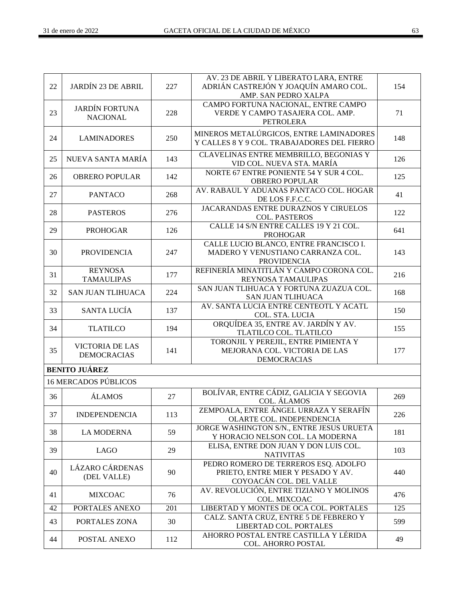| 22 | <b>JARDÍN 23 DE ABRIL</b>                    | 227 | AV. 23 DE ABRIL Y LIBERATO LARA, ENTRE<br>ADRIÁN CASTREJÓN Y JOAQUÍN AMARO COL.<br>AMP. SAN PEDRO XALPA | 154 |
|----|----------------------------------------------|-----|---------------------------------------------------------------------------------------------------------|-----|
| 23 | <b>JARDÍN FORTUNA</b><br><b>NACIONAL</b>     | 228 | CAMPO FORTUNA NACIONAL, ENTRE CAMPO<br>VERDE Y CAMPO TASAJERA COL. AMP.<br><b>PETROLERA</b>             | 71  |
| 24 | <b>LAMINADORES</b>                           | 250 | MINEROS METALÚRGICOS, ENTRE LAMINADORES<br>Y CALLES 8 Y 9 COL. TRABAJADORES DEL FIERRO                  | 148 |
| 25 | NUEVA SANTA MARÍA                            | 143 | CLAVELINAS ENTRE MEMBRILLO, BEGONIAS Y<br>VID COL. NUEVA STA, MARÍA                                     | 126 |
| 26 | <b>OBRERO POPULAR</b>                        | 142 | NORTE 67 ENTRE PONIENTE 54 Y SUR 4 COL.<br><b>OBRERO POPULAR</b>                                        | 125 |
| 27 | <b>PANTACO</b>                               | 268 | AV. RABAUL Y ADUANAS PANTACO COL. HOGAR<br>DE LOS F.F.C.C.                                              | 41  |
| 28 | <b>PASTEROS</b>                              | 276 | <b>JACARANDAS ENTRE DURAZNOS Y CIRUELOS</b><br><b>COL. PASTEROS</b>                                     | 122 |
| 29 | <b>PROHOGAR</b>                              | 126 | CALLE 14 S/N ENTRE CALLES 19 Y 21 COL.<br><b>PROHOGAR</b>                                               | 641 |
| 30 | <b>PROVIDENCIA</b>                           | 247 | CALLE LUCIO BLANCO, ENTRE FRANCISCO I.<br>MADERO Y VENUSTIANO CARRANZA COL.<br><b>PROVIDENCIA</b>       | 143 |
| 31 | <b>REYNOSA</b><br><b>TAMAULIPAS</b>          | 177 | REFINERÍA MINATITLÁN Y CAMPO CORONA COL.<br><b>REYNOSA TAMAULIPAS</b>                                   | 216 |
| 32 | <b>SAN JUAN TLIHUACA</b>                     | 224 | SAN JUAN TLIHUACA Y FORTUNA ZUAZUA COL.<br>SAN JUAN TLIHUACA                                            | 168 |
| 33 | SANTA LUCÍA                                  | 137 | AV. SANTA LUCIA ENTRE CENTEOTL Y ACATL<br>COL. STA. LUCIA                                               | 150 |
| 34 | <b>TLATILCO</b>                              | 194 | ORQUÍDEA 35, ENTRE AV. JARDÍN Y AV.<br>TLATILCO COL. TLATILCO                                           | 155 |
| 35 | <b>VICTORIA DE LAS</b><br><b>DEMOCRACIAS</b> | 141 | TORONJIL Y PEREJIL, ENTRE PIMIENTA Y<br>MEJORANA COL. VICTORIA DE LAS<br><b>DEMOCRACIAS</b>             | 177 |
|    | <b>BENITO JUÁREZ</b>                         |     |                                                                                                         |     |
|    | <b>16 MERCADOS PÚBLICOS</b>                  |     |                                                                                                         |     |
| 36 | <b>ÁLAMOS</b>                                | 27  | BOLÍVAR, ENTRE CÁDIZ, GALICIA Y SEGOVIA<br>COL. ÁLAMOS                                                  | 269 |
| 37 | <b>INDEPENDENCIA</b>                         | 113 | ZEMPOALA, ENTRE ÁNGEL URRAZA Y SERAFÍN<br>OLARTE COL. INDEPENDENCIA                                     | 226 |
| 38 | <b>LA MODERNA</b>                            | 59  | JORGE WASHINGTON S/N., ENTRE JESUS URUETA<br>Y HORACIO NELSON COL. LA MODERNA                           | 181 |
| 39 | <b>LAGO</b>                                  | 29  | ELISA, ENTRE DON JUAN Y DON LUIS COL.<br><b>NATIVITAS</b>                                               | 103 |
| 40 | <b>LÁZARO CÁRDENAS</b><br>(DEL VALLE)        | 90  | PEDRO ROMERO DE TERREROS ESQ. ADOLFO<br>PRIETO, ENTRE MIER Y PESADO Y AV.<br>COYOACÁN COL. DEL VALLE    | 440 |
| 41 | <b>MIXCOAC</b>                               | 76  | AV. REVOLUCIÓN, ENTRE TIZIANO Y MOLINOS<br>COL. MIXCOAC                                                 | 476 |
| 42 | PORTALES ANEXO                               | 201 | LIBERTAD Y MONTES DE OCA COL. PORTALES                                                                  | 125 |
| 43 | PORTALES ZONA                                | 30  | CALZ. SANTA CRUZ, ENTRE 5 DE FEBRERO Y<br>LIBERTAD COL. PORTALES                                        | 599 |
| 44 | POSTAL ANEXO                                 | 112 | AHORRO POSTAL ENTRE CASTILLA Y LÉRIDA<br>COL. AHORRO POSTAL                                             | 49  |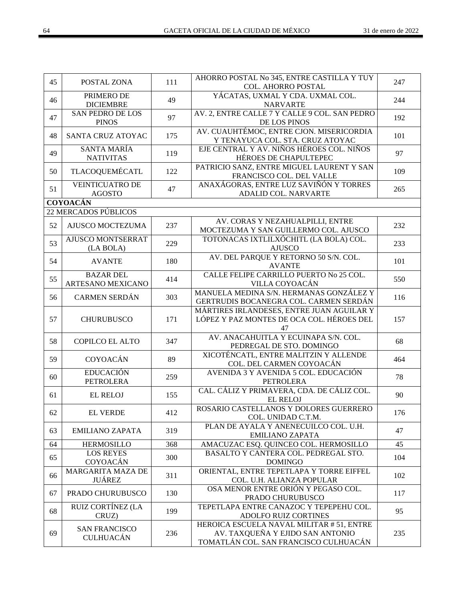| 45 | POSTAL ZONA                              | 111 | AHORRO POSTAL No 345, ENTRE CASTILLA Y TUY<br>COL. AHORRO POSTAL                                                      | 247 |  |  |  |
|----|------------------------------------------|-----|-----------------------------------------------------------------------------------------------------------------------|-----|--|--|--|
| 46 | PRIMERO DE<br><b>DICIEMBRE</b>           | 49  | YÁCATAS, UXMAL Y CDA. UXMAL COL.<br><b>NARVARTE</b>                                                                   | 244 |  |  |  |
| 47 | <b>SAN PEDRO DE LOS</b><br><b>PINOS</b>  | 97  | AV. 2, ENTRE CALLE 7 Y CALLE 9 COL. SAN PEDRO<br>DE LOS PINOS                                                         | 192 |  |  |  |
| 48 | SANTA CRUZ ATOYAC                        | 175 | AV. CUAUHTÉMOC, ENTRE CJON. MISERICORDIA<br>Y TENAYUCA COL. STA. CRUZ ATOYAC                                          | 101 |  |  |  |
| 49 | <b>SANTA MARÍA</b><br><b>NATIVITAS</b>   | 119 | EJE CENTRAL Y AV. NIÑOS HÉROES COL. NIÑOS<br>HÉROES DE CHAPULTEPEC                                                    | 97  |  |  |  |
| 50 | TLACOQUEMÉCATL                           | 122 | PATRICIO SANZ, ENTRE MIGUEL LAURENT Y SAN<br>FRANCISCO COL. DEL VALLE                                                 | 109 |  |  |  |
| 51 | <b>VEINTICUATRO DE</b><br><b>AGOSTO</b>  | 47  | ANAXÁGORAS, ENTRE LUZ SAVIÑÓN Y TORRES<br>ADALID COL. NARVARTE                                                        | 265 |  |  |  |
|    | <b>COYOACÁN</b>                          |     |                                                                                                                       |     |  |  |  |
|    | <b>22 MERCADOS PÚBLICOS</b>              |     |                                                                                                                       |     |  |  |  |
| 52 | AJUSCO MOCTEZUMA                         | 237 | AV. CORAS Y NEZAHUALPILLI, ENTRE<br>MOCTEZUMA Y SAN GUILLERMO COL. AJUSCO                                             | 232 |  |  |  |
| 53 | AJUSCO MONTSERRAT<br>(LA BOLA)           | 229 | TOTONACAS IXTLILXÓCHITL (LA BOLA) COL.<br><b>AJUSCO</b>                                                               | 233 |  |  |  |
| 54 | <b>AVANTE</b>                            | 180 | AV. DEL PARQUE Y RETORNO 50 S/N. COL.<br><b>AVANTE</b>                                                                | 101 |  |  |  |
| 55 | <b>BAZAR DEL</b><br>ARTESANO MEXICANO    | 414 | CALLE FELIPE CARRILLO PUERTO No 25 COL.<br>VILLA COYOACÁN                                                             | 550 |  |  |  |
| 56 | <b>CARMEN SERDÁN</b>                     | 303 | MANUELA MEDINA S/N. HERMANAS GONZÁLEZ Y<br>GERTRUDIS BOCANEGRA COL. CARMEN SERDÁN                                     | 116 |  |  |  |
| 57 | <b>CHURUBUSCO</b>                        | 171 | MÁRTIRES IRLANDESES, ENTRE JUAN AGUILAR Y<br>LÓPEZ Y PAZ MONTES DE OCA COL. HÉROES DEL<br>47                          | 157 |  |  |  |
| 58 | COPILCO EL ALTO                          | 347 | AV. ANACAHUITLA Y ECUINAPA S/N. COL.<br>PEDREGAL DE STO. DOMINGO                                                      | 68  |  |  |  |
| 59 | <b>COYOACÁN</b>                          | 89  | XICOTÉNCATL, ENTRE MALITZIN Y ALLENDE<br>COL. DEL CARMEN COYOACÁN                                                     | 464 |  |  |  |
| 60 | <b>EDUCACIÓN</b><br><b>PETROLERA</b>     | 259 | AVENIDA 3 Y AVENIDA 5 COL. EDUCACIÓN<br><b>PETROLERA</b>                                                              | 78  |  |  |  |
| 61 | <b>EL RELOJ</b>                          | 155 | CAL. CÁLIZ Y PRIMAVERA, CDA. DE CÁLIZ COL.<br><b>EL RELOJ</b>                                                         | 90  |  |  |  |
| 62 | <b>EL VERDE</b>                          | 412 | ROSARIO CASTELLANOS Y DOLORES GUERRERO<br>COL. UNIDAD C.T.M.                                                          | 176 |  |  |  |
| 63 | <b>EMILIANO ZAPATA</b>                   | 319 | PLAN DE AYALA Y ANENECUILCO COL. U.H.<br><b>EMILIANO ZAPATA</b>                                                       | 47  |  |  |  |
| 64 | <b>HERMOSILLO</b>                        | 368 | AMACUZAC ESQ. QUINCEO COL. HERMOSILLO                                                                                 | 45  |  |  |  |
| 65 | <b>LOS REYES</b><br>COYOACÁN             | 300 | BASALTO Y CANTERA COL. PEDREGAL STO.<br><b>DOMINGO</b>                                                                | 104 |  |  |  |
| 66 | MARGARITA MAZA DE<br><b>JUÁREZ</b>       | 311 | ORIENTAL, ENTRE TEPETLAPA Y TORRE EIFFEL<br>COL. U.H. ALIANZA POPULAR                                                 | 102 |  |  |  |
| 67 | PRADO CHURUBUSCO                         | 130 | OSA MENOR ENTRE ORIÓN Y PEGASO COL.<br>PRADO CHURUBUSCO                                                               | 117 |  |  |  |
| 68 | RUIZ CORTÍNEZ (LA<br>CRUZ)               | 199 | TEPETLAPA ENTRE CANAZOC Y TEPEPEHU COL.<br>ADOLFO RUIZ CORTINES                                                       | 95  |  |  |  |
| 69 | <b>SAN FRANCISCO</b><br><b>CULHUACÁN</b> | 236 | HEROICA ESCUELA NAVAL MILITAR #51, ENTRE<br>AV. TAXQUEÑA Y EJIDO SAN ANTONIO<br>TOMATLÁN COL. SAN FRANCISCO CULHUACÁN | 235 |  |  |  |
|    |                                          |     |                                                                                                                       |     |  |  |  |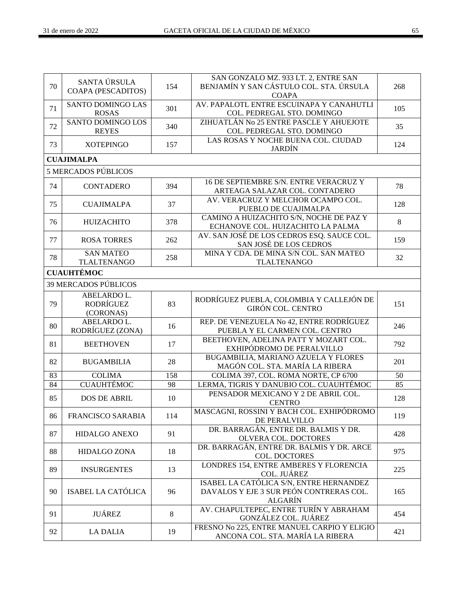| 70 | SANTA ÚRSULA<br><b>COAPA (PESCADITOS)</b>    | 154 | SAN GONZALO MZ. 933 LT. 2, ENTRE SAN<br>BENJAMÍN Y SAN CÁSTULO COL. STA. ÚRSULA<br><b>COAPA</b>      | 268 |
|----|----------------------------------------------|-----|------------------------------------------------------------------------------------------------------|-----|
| 71 | SANTO DOMINGO LAS<br><b>ROSAS</b>            | 301 | AV. PAPALOTL ENTRE ESCUINAPA Y CANAHUTLI<br>COL. PEDREGAL STO. DOMINGO                               | 105 |
| 72 | SANTO DOMINGO LOS<br><b>REYES</b>            | 340 | ZIHUATLÁN No 25 ENTRE PASCLE Y AHUEJOTE<br>COL. PEDREGAL STO. DOMINGO                                | 35  |
| 73 | <b>XOTEPINGO</b>                             | 157 | LAS ROSAS Y NOCHE BUENA COL. CIUDAD<br><b>JARDÍN</b>                                                 | 124 |
|    | <b>CUAJIMALPA</b>                            |     |                                                                                                      |     |
|    | <b>5 MERCADOS PÚBLICOS</b>                   |     |                                                                                                      |     |
| 74 | <b>CONTADERO</b>                             | 394 | 16 DE SEPTIEMBRE S/N. ENTRE VERACRUZ Y<br>ARTEAGA SALAZAR COL. CONTADERO                             | 78  |
| 75 | <b>CUAJIMALPA</b>                            | 37  | AV. VERACRUZ Y MELCHOR OCAMPO COL.<br>PUEBLO DE CUAJIMALPA                                           | 128 |
| 76 | <b>HUIZACHITO</b>                            | 378 | CAMINO A HUIZACHITO S/N, NOCHE DE PAZ Y<br>ECHANOVE COL. HUIZACHITO LA PALMA                         | 8   |
| 77 | <b>ROSA TORRES</b>                           | 262 | AV. SAN JOSÉ DE LOS CEDROS ESQ. SAUCE COL.<br>SAN JOSÉ DE LOS CEDROS                                 | 159 |
| 78 | <b>SAN MATEO</b><br><b>TLALTENANGO</b>       | 258 | MINA Y CDA. DE MINA S/N COL. SAN MATEO<br><b>TLALTENANGO</b>                                         | 32  |
|    | <b>CUAUHTÉMOC</b>                            |     |                                                                                                      |     |
|    | <b>39 MERCADOS PÚBLICOS</b>                  |     |                                                                                                      |     |
| 79 | ABELARDO L.<br><b>RODRÍGUEZ</b><br>(CORONAS) | 83  | RODRÍGUEZ PUEBLA, COLOMBIA Y CALLEJÓN DE<br><b>GIRÓN COL. CENTRO</b>                                 | 151 |
| 80 | ABELARDO L.<br>RODRÍGUEZ (ZONA)              | 16  | REP. DE VENEZUELA No 42, ENTRE RODRÍGUEZ<br>PUEBLA Y EL CARMEN COL. CENTRO                           | 246 |
| 81 | <b>BEETHOVEN</b>                             | 17  | BEETHOVEN, ADELINA PATT Y MOZART COL.<br>EXHIPÓDROMO DE PERALVILLO                                   | 792 |
| 82 | <b>BUGAMBILIA</b>                            | 28  | BUGAMBILIA, MARIANO AZUELA Y FLORES<br>MAGÓN COL. STA. MARÍA LA RIBERA                               | 201 |
| 83 | <b>COLIMA</b>                                | 158 | COLIMA 397, COL. ROMA NORTE, CP 6700                                                                 | 50  |
| 84 | <b>CUAUHTÉMOC</b>                            | 98  | LERMA, TIGRIS Y DANUBIO COL. CUAUHTÉMOC                                                              | 85  |
| 85 | <b>DOS DE ABRIL</b>                          | 10  | PENSADOR MEXICANO Y 2 DE ABRIL COL.<br><b>CENTRO</b>                                                 | 128 |
| 86 | FRANCISCO SARABIA                            | 114 | MASCAGNI, ROSSINI Y BACH COL. EXHIPÓDROMO<br>DE PERALVILLO                                           | 119 |
| 87 | <b>HIDALGO ANEXO</b>                         | 91  | DR. BARRAGÁN, ENTRE DR. BALMIS Y DR.<br>OLVERA COL. DOCTORES                                         | 428 |
| 88 | <b>HIDALGO ZONA</b>                          | 18  | DR. BARRAGÁN, ENTRE DR. BALMIS Y DR. ARCE<br>COL. DOCTORES                                           | 975 |
| 89 | <b>INSURGENTES</b>                           | 13  | LONDRES 154, ENTRE AMBERES Y FLORENCIA<br>COL. JUÁREZ                                                | 225 |
| 90 | ISABEL LA CATÓLICA                           | 96  | ISABEL LA CATÓLICA S/N, ENTRE HERNANDEZ<br>DAVALOS Y EJE 3 SUR PEÓN CONTRERAS COL.<br><b>ALGARÍN</b> | 165 |
| 91 | <b>JUÁREZ</b>                                | 8   | AV. CHAPULTEPEC, ENTRE TURÍN Y ABRAHAM<br>GONZÁLEZ COL. JUÁREZ                                       | 454 |
| 92 | <b>LA DALIA</b>                              | 19  | FRESNO No 225, ENTRE MANUEL CARPIO Y ELIGIO<br>ANCONA COL. STA. MARÍA LA RIBERA                      | 421 |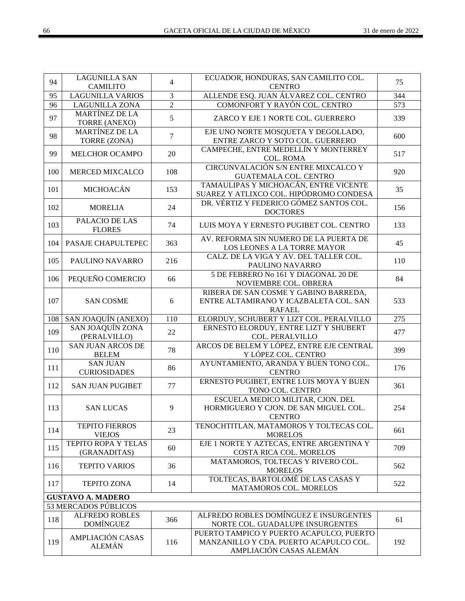| 94  | <b>LAGUNILLA SAN</b>                       | $\overline{4}$ | ECUADOR, HONDURAS, SAN CAMILITO COL.                                                                                   | 75               |
|-----|--------------------------------------------|----------------|------------------------------------------------------------------------------------------------------------------------|------------------|
|     | <b>CAMILITO</b>                            |                | <b>CENTRO</b>                                                                                                          |                  |
| 95  | <b>LAGUNILLA VARIOS</b>                    | 3              | ALLENDE ESQ. JUAN ÁLVAREZ COL. CENTRO                                                                                  | 344              |
| 96  | <b>LAGUNILLA ZONA</b>                      | $\overline{2}$ | COMONFORT Y RAYÓN COL. CENTRO                                                                                          | 573              |
| 97  | <b>MARTÍNEZ DE LA</b><br>TORRE (ANEXO)     | 5              | ZARCO Y EJE 1 NORTE COL. GUERRERO                                                                                      | 339              |
| 98  | <b>MARTÍNEZ DE LA</b><br>TORRE (ZONA)      | $\tau$         | EJE UNO NORTE MOSQUETA Y DEGOLLADO,<br>ENTRE ZARCO Y SOTO COL. GUERRERO                                                | 600              |
| 99  | MELCHOR OCAMPO                             | 20             | CAMPECHE, ENTRE MEDELLÍN Y MONTERREY<br><b>COL. ROMA</b>                                                               | 517              |
| 100 | MERCED MIXCALCO                            | 108            | CIRCUNVALACIÓN S/N ENTRE MIXCALCO Y<br><b>GUATEMALA COL. CENTRO</b>                                                    | 920              |
| 101 | MICHOACÁN                                  | 153            | TAMAULIPAS Y MICHOACÁN, ENTRE VICENTE<br>SUAREZ Y ATLIXCO COL. HIPÓDROMO CONDESA                                       | 35               |
| 102 | <b>MORELIA</b>                             | 24             | DR. VÉRTIZ Y FEDERICO GÓMEZ SANTOS COL.<br><b>DOCTORES</b>                                                             | 156              |
| 103 | PALACIO DE LAS<br><b>FLORES</b>            | 74             | LUIS MOYA Y ERNESTO PUGIBET COL. CENTRO                                                                                | 133              |
| 104 | PASAJE CHAPULTEPEC                         | 363            | AV. REFORMA SIN NUMERO DE LA PUERTA DE<br>LOS LEONES A LA TORRE MAYOR                                                  | 45               |
| 105 | PAULINO NAVARRO                            | 216            | CALZ. DE LA VIGA Y AV. DEL TALLER COL.<br>PAULINO NAVARRO                                                              | 110              |
| 106 | PEQUEÑO COMERCIO                           | 66             | 5 DE FEBRERO No 161 Y DIAGONAL 20 DE<br>NOVIEMBRE COL. OBRERA                                                          | 84               |
| 107 | <b>SAN COSME</b>                           | 6              | RIBERA DE SAN COSME Y GABINO BARREDA,<br>ENTRE ALTAMIRANO Y ICAZBALETA COL. SAN<br><b>RAFAEL</b>                       | 533              |
| 108 | SAN JOAQUÍN (ANEXO)                        | 110            | ELORDUY, SCHUBERT Y LIZT COL. PERALVILLO                                                                               | $\overline{275}$ |
|     |                                            |                |                                                                                                                        |                  |
| 109 | <b>SAN JOAQUÍN ZONA</b><br>(PERALVILLO)    | 22             | ERNESTO ELORDUY, ENTRE LIZT Y SHUBERT<br><b>COL. PERALVILLO</b>                                                        | 477              |
| 110 | <b>SAN JUAN ARCOS DE</b><br><b>BELEM</b>   | 78             | ARCOS DE BELEM Y LÓPEZ, ENTRE EJE CENTRAL<br>Y LÓPEZ COL. CENTRO                                                       | 399              |
| 111 | <b>SAN JUAN</b><br><b>CURIOSIDADES</b>     | 86             | AYUNTAMIENTO, ARANDA Y BUEN TONO COL.<br><b>CENTRO</b>                                                                 | 176              |
| 112 | <b>SAN JUAN PUGIBET</b>                    | 77             | ERNESTO PUGIBET, ENTRE LUIS MOYA Y BUEN<br>TONO COL. CENTRO                                                            | 361              |
| 113 | <b>SAN LUCAS</b>                           | 9              | ESCUELA MEDICO MILITAR, CJON. DEL<br>HORMIGUERO Y CJON. DE SAN MIGUEL COL.<br><b>CENTRO</b>                            | 254              |
| 114 | <b>TEPITO FIERROS</b><br><b>VIEJOS</b>     | 23             | TENOCHTITLAN, MATAMOROS Y TOLTECAS COL.<br><b>MORELOS</b>                                                              | 661              |
| 115 | <b>TEPITO ROPA Y TELAS</b><br>(GRANADITAS) | 60             | EJE 1 NORTE Y AZTECAS, ENTRE ARGENTINA Y<br>COSTA RICA COL. MORELOS                                                    | 709              |
| 116 | <b>TEPITO VARIOS</b>                       | 36             | MATAMOROS, TOLTECAS Y RIVERO COL.                                                                                      | 562              |
| 117 | <b>TEPITO ZONA</b>                         | 14             | <b>MORELOS</b><br>TOLTECAS, BARTOLOMÉ DE LAS CASAS Y<br>MATAMOROS COL. MORELOS                                         | 522              |
|     | <b>GUSTAVO A. MADERO</b>                   |                |                                                                                                                        |                  |
|     | 53 MERCADOS PÚBLICOS                       |                |                                                                                                                        |                  |
| 118 | <b>ALFREDO ROBLES</b><br><b>DOMÍNGUEZ</b>  | 366            | ALFREDO ROBLES DOMÍNGUEZ E INSURGENTES<br>NORTE COL. GUADALUPE INSURGENTES<br>PUERTO TAMPICO Y PUERTO ACAPULCO, PUERTO | 61               |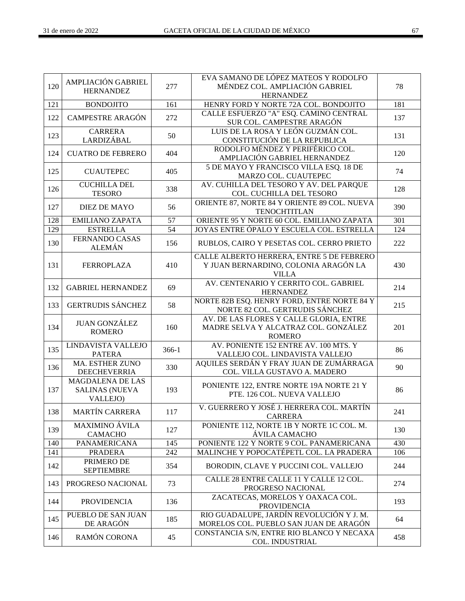| 120 | AMPLIACIÓN GABRIEL                                           | 277             | EVA SAMANO DE LÓPEZ MATEOS Y RODOLFO<br>MÉNDEZ COL. AMPLIACIÓN GABRIEL                            | 78  |
|-----|--------------------------------------------------------------|-----------------|---------------------------------------------------------------------------------------------------|-----|
|     | <b>HERNANDEZ</b>                                             |                 | <b>HERNANDEZ</b>                                                                                  |     |
| 121 | <b>BONDOJITO</b>                                             | 161             | HENRY FORD Y NORTE 72A COL. BONDOJITO                                                             | 181 |
| 122 | <b>CAMPESTRE ARAGÓN</b>                                      | 272             | CALLE ESFUERZO "A" ESQ. CAMINO CENTRAL<br>SUR COL. CAMPESTRE ARAGÓN                               | 137 |
| 123 | <b>CARRERA</b><br>LARDIZÁBAL                                 | 50              | LUIS DE LA ROSA Y LEÓN GUZMÁN COL.<br>CONSTITUCIÓN DE LA REPUBLICA                                | 131 |
| 124 | <b>CUATRO DE FEBRERO</b>                                     | 404             | RODOLFO MÉNDEZ Y PERIFÉRICO COL.<br>AMPLIACIÓN GABRIEL HERNANDEZ                                  | 120 |
| 125 | <b>CUAUTEPEC</b>                                             | 405             | 5 DE MAYO Y FRANCISCO VILLA ESQ. 18 DE<br>MARZO COL. CUAUTEPEC                                    | 74  |
| 126 | <b>CUCHILLA DEL</b><br><b>TESORO</b>                         | 338             | AV. CUHILLA DEL TESORO Y AV. DEL PARQUE<br>COL. CUCHILLA DEL TESORO                               | 128 |
| 127 | <b>DIEZ DE MAYO</b>                                          | 56              | ORIENTE 87, NORTE 84 Y ORIENTE 89 COL. NUEVA<br><b>TENOCHTITLAN</b>                               | 390 |
| 128 | <b>EMILIANO ZAPATA</b>                                       | 57              | ORIENTE 95 Y NORTE 60 COL. EMILIANO ZAPATA                                                        | 301 |
| 129 | <b>ESTRELLA</b>                                              | $\overline{54}$ | JOYAS ENTRE ÓPALO Y ESCUELA COL. ESTRELLA                                                         | 124 |
| 130 | <b>FERNANDO CASAS</b><br><b>ALEMÁN</b>                       | 156             | RUBLOS, CAIRO Y PESETAS COL. CERRO PRIETO                                                         | 222 |
| 131 | <b>FERROPLAZA</b>                                            | 410             | CALLE ALBERTO HERRERA, ENTRE 5 DE FEBRERO<br>Y JUAN BERNARDINO, COLONIA ARAGÓN LA<br><b>VILLA</b> | 430 |
| 132 | <b>GABRIEL HERNANDEZ</b>                                     | 69              | AV. CENTENARIO Y CERRITO COL. GABRIEL<br><b>HERNANDEZ</b>                                         | 214 |
| 133 | <b>GERTRUDIS SÁNCHEZ</b>                                     | 58              | NORTE 82B ESQ. HENRY FORD, ENTRE NORTE 84 Y<br>NORTE 82 COL. GERTRUDIS SÁNCHEZ                    | 215 |
| 134 | <b>JUAN GONZÁLEZ</b><br><b>ROMERO</b>                        | 160             | AV. DE LAS FLORES Y CALLE GLORIA, ENTRE<br>MADRE SELVA Y ALCATRAZ COL. GONZÁLEZ<br><b>ROMERO</b>  | 201 |
| 135 | LINDAVISTA VALLEJO<br><b>PATERA</b>                          | 366-1           | AV. PONIENTE 152 ENTRE AV. 100 MTS. Y<br>VALLEJO COL. LINDAVISTA VALLEJO                          | 86  |
| 136 | MA. ESTHER ZUNO<br>DEECHEVERRIA                              | 330             | AQUILES SERDÁN Y FRAY JUAN DE ZUMÁRRAGA<br>COL. VILLA GUSTAVO A. MADERO                           | 90  |
| 137 | <b>MAGDALENA DE LAS</b><br><b>SALINAS (NUEVA</b><br>VALLEJO) | 193             | PONIENTE 122, ENTRE NORTE 19A NORTE 21 Y<br>PTE. 126 COL. NUEVA VALLEJO                           | 86  |
| 138 | MARTÍN CARRERA                                               | 117             | V. GUERRERO Y JOSÉ J. HERRERA COL. MARTÍN<br><b>CARRERA</b>                                       | 241 |
| 139 | <b>MAXIMINO ÁVILA</b><br><b>CAMACHO</b>                      | 127             | PONIENTE 112, NORTE 1B Y NORTE 1C COL. M.<br>ÁVILA CAMACHO                                        | 130 |
| 140 | <b>PANAMERICANA</b>                                          | 145             | PONIENTE 122 Y NORTE 9 COL. PANAMERICANA                                                          | 430 |
| 141 | <b>PRADERA</b>                                               | 242             | MALINCHE Y POPOCATÉPETL COL. LA PRADERA                                                           | 106 |
| 142 | PRIMERO DE<br><b>SEPTIEMBRE</b>                              | 354             | BORODIN, CLAVE Y PUCCINI COL. VALLEJO                                                             | 244 |
| 143 | PROGRESO NACIONAL                                            | 73              | CALLE 28 ENTRE CALLE 11 Y CALLE 12 COL.<br>PROGRESO NACIONAL                                      | 274 |
| 144 | <b>PROVIDENCIA</b>                                           | 136             | ZACATECAS, MORELOS Y OAXACA COL.<br><b>PROVIDENCIA</b>                                            | 193 |
| 145 | PUEBLO DE SAN JUAN<br>DE ARAGÓN                              | 185             | RIO GUADALUPE, JARDÍN REVOLUCIÓN Y J. M.<br>MORELOS COL. PUEBLO SAN JUAN DE ARAGÓN                | 64  |
| 146 | RAMÓN CORONA                                                 | 45              | CONSTANCIA S/N, ENTRE RIO BLANCO Y NECAXA<br>COL. INDUSTRIAL                                      | 458 |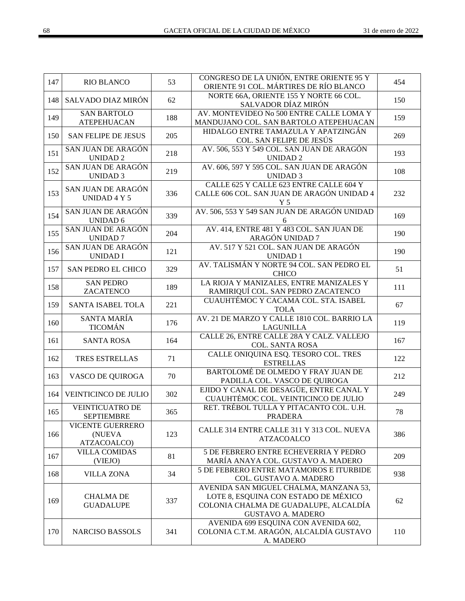| 147 | <b>RIO BLANCO</b>                                | 53  | CONGRESO DE LA UNIÓN, ENTRE ORIENTE 95 Y<br>ORIENTE 91 COL. MÁRTIRES DE RÍO BLANCO                                                                  | 454 |
|-----|--------------------------------------------------|-----|-----------------------------------------------------------------------------------------------------------------------------------------------------|-----|
| 148 | SALVADO DIAZ MIRÓN                               | 62  | NORTE 66A, ORIENTE 155 Y NORTE 66 COL.<br>SALVADOR DÍAZ MIRÓN                                                                                       | 150 |
| 149 | <b>SAN BARTOLO</b><br><b>ATEPEHUACAN</b>         | 188 | AV. MONTEVIDEO No 500 ENTRE CALLE LOMA Y<br>MANDUJANO COL. SAN BARTOLO ATEPEHUACAN                                                                  | 159 |
| 150 | <b>SAN FELIPE DE JESUS</b>                       | 205 | HIDALGO ENTRE TAMAZULA Y APATZINGÁN<br>COL. SAN FELIPE DE JESÚS                                                                                     | 269 |
| 151 | SAN JUAN DE ARAGÓN<br><b>UNIDAD2</b>             | 218 | AV. 506, 553 Y 549 COL. SAN JUAN DE ARAGÓN<br><b>UNIDAD2</b>                                                                                        | 193 |
| 152 | SAN JUAN DE ARAGÓN<br><b>UNIDAD 3</b>            | 219 | AV. 606, 597 Y 595 COL. SAN JUAN DE ARAGÓN<br><b>UNIDAD 3</b>                                                                                       | 108 |
| 153 | SAN JUAN DE ARAGÓN<br>UNIDAD 4 Y 5               | 336 | CALLE 625 Y CALLE 623 ENTRE CALLE 604 Y<br>CALLE 606 COL. SAN JUAN DE ARAGÓN UNIDAD 4<br>Y <sub>5</sub>                                             | 232 |
| 154 | SAN JUAN DE ARAGÓN<br><b>UNIDAD 6</b>            | 339 | AV. 506, 553 Y 549 SAN JUAN DE ARAGÓN UNIDAD<br>6                                                                                                   | 169 |
| 155 | SAN JUAN DE ARAGÓN<br><b>UNIDAD7</b>             | 204 | AV. 414, ENTRE 481 Y 483 COL. SAN JUAN DE<br>ARAGÓN UNIDAD 7                                                                                        | 190 |
| 156 | SAN JUAN DE ARAGÓN<br><b>UNIDAD I</b>            | 121 | AV. 517 Y 521 COL. SAN JUAN DE ARAGÓN<br><b>UNIDAD1</b>                                                                                             | 190 |
| 157 | <b>SAN PEDRO EL CHICO</b>                        | 329 | AV. TALISMÁN Y NORTE 94 COL. SAN PEDRO EL<br><b>CHICO</b>                                                                                           | 51  |
| 158 | <b>SAN PEDRO</b><br>ZACATENCO                    | 189 | LA RIOJA Y MANIZALES, ENTRE MANIZALES Y<br>RAMIRIQUÍ COL. SAN PEDRO ZACATENCO                                                                       | 111 |
| 159 | SANTA ISABEL TOLA                                | 221 | CUAUHTÉMOC Y CACAMA COL. STA. ISABEL<br><b>TOLA</b>                                                                                                 | 67  |
| 160 | SANTA MARÍA<br><b>TICOMÁN</b>                    | 176 | AV. 21 DE MARZO Y CALLE 1810 COL. BARRIO LA<br><b>LAGUNILLA</b>                                                                                     | 119 |
| 161 | <b>SANTA ROSA</b>                                | 164 | CALLE 26, ENTRE CALLE 28A Y CALZ. VALLEJO<br><b>COL. SANTA ROSA</b>                                                                                 | 167 |
| 162 | TRES ESTRELLAS                                   | 71  | CALLE ONIQUINA ESQ. TESORO COL. TRES<br><b>ESTRELLAS</b>                                                                                            | 122 |
| 163 | VASCO DE QUIROGA                                 | 70  | BARTOLOMÉ DE OLMEDO Y FRAY JUAN DE<br>PADILLA COL. VASCO DE QUIROGA                                                                                 | 212 |
| 164 | VEINTICINCO DE JULIO                             | 302 | EJIDO Y CANAL DE DESAGÜE, ENTRE CANAL Y<br>CUAUHTÉMOC COL. VEINTICINCO DE JULIO                                                                     | 249 |
| 165 | <b>VEINTICUATRO DE</b><br><b>SEPTIEMBRE</b>      | 365 | RET. TRÉBOL TULLA Y PITACANTO COL. U.H.<br><b>PRADERA</b>                                                                                           | 78  |
| 166 | <b>VICENTE GUERRERO</b><br>(NUEVA<br>ATZACOALCO) | 123 | CALLE 314 ENTRE CALLE 311 Y 313 COL. NUEVA<br><b>ATZACOALCO</b>                                                                                     | 386 |
| 167 | <b>VILLA COMIDAS</b><br>(VIEJO)                  | 81  | 5 DE FEBRERO ENTRE ECHEVERRIA Y PEDRO<br>MARÍA ANAYA COL. GUSTAVO A. MADERO                                                                         | 209 |
| 168 | <b>VILLA ZONA</b>                                | 34  | 5 DE FEBRERO ENTRE MATAMOROS E ITURBIDE<br>COL. GUSTAVO A. MADERO                                                                                   | 938 |
| 169 | <b>CHALMA DE</b><br><b>GUADALUPE</b>             | 337 | AVENIDA SAN MIGUEL CHALMA, MANZANA 53,<br>LOTE 8, ESQUINA CON ESTADO DE MÉXICO<br>COLONIA CHALMA DE GUADALUPE, ALCALDÍA<br><b>GUSTAVO A. MADERO</b> | 62  |
| 170 | <b>NARCISO BASSOLS</b>                           | 341 | AVENIDA 699 ESQUINA CON AVENIDA 602,<br>COLONIA C.T.M. ARAGÓN, ALCALDÍA GUSTAVO<br>A. MADERO                                                        | 110 |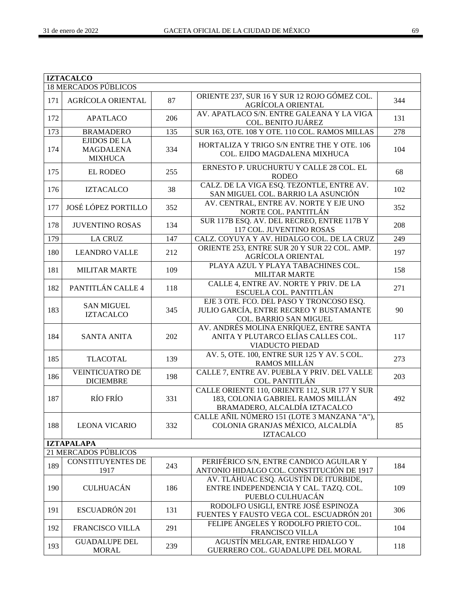|     | <b>IZTACALCO</b>                                   |     |                                                                                                                     |     |
|-----|----------------------------------------------------|-----|---------------------------------------------------------------------------------------------------------------------|-----|
|     | <b>18 MERCADOS PÚBLICOS</b>                        |     |                                                                                                                     |     |
| 171 | <b>AGRÍCOLA ORIENTAL</b>                           | 87  | ORIENTE 237, SUR 16 Y SUR 12 ROJO GÓMEZ COL.<br>AGRÍCOLA ORIENTAL                                                   | 344 |
| 172 | <b>APATLACO</b>                                    | 206 | AV. APATLACO S/N. ENTRE GALEANA Y LA VIGA<br>COL. BENITO JUÁREZ                                                     | 131 |
| 173 | <b>BRAMADERO</b>                                   | 135 | SUR 163, OTE. 108 Y OTE. 110 COL. RAMOS MILLAS                                                                      | 278 |
| 174 | EJIDOS DE LA<br><b>MAGDALENA</b><br><b>MIXHUCA</b> | 334 | HORTALIZA Y TRIGO S/N ENTRE THE Y OTE. 106<br>COL. EJIDO MAGDALENA MIXHUCA                                          | 104 |
| 175 | <b>EL RODEO</b>                                    | 255 | ERNESTO P. URUCHURTU Y CALLE 28 COL. EL<br><b>RODEO</b>                                                             | 68  |
| 176 | <b>IZTACALCO</b>                                   | 38  | CALZ. DE LA VIGA ESQ. TEZONTLE, ENTRE AV.<br>SAN MIGUEL COL. BARRIO LA ASUNCIÓN                                     | 102 |
| 177 | JOSÉ LÓPEZ PORTILLO                                | 352 | AV. CENTRAL, ENTRE AV. NORTE Y EJE UNO<br>NORTE COL. PANTITLÁN                                                      | 352 |
| 178 | <b>JUVENTINO ROSAS</b>                             | 134 | SUR 117B ESQ. AV. DEL RECREO, ENTRE 117B Y<br>117 COL. JUVENTINO ROSAS                                              | 208 |
| 179 | <b>LA CRUZ</b>                                     | 147 | CALZ. COYUYA Y AV. HIDALGO COL. DE LA CRUZ                                                                          | 249 |
| 180 | <b>LEANDRO VALLE</b>                               | 212 | ORIENTE 253, ENTRE SUR 20 Y SUR 22 COL. AMP.<br>AGRÍCOLA ORIENTAL                                                   | 197 |
| 181 | <b>MILITAR MARTE</b>                               | 109 | PLAYA AZUL Y PLAYA TABACHINES COL.<br><b>MILITAR MARTE</b>                                                          | 158 |
| 182 | PANTITLÁN CALLE 4                                  | 118 | CALLE 4, ENTRE AV. NORTE Y PRIV. DE LA<br>ESCUELA COL. PANTITLÁN                                                    | 271 |
| 183 | <b>SAN MIGUEL</b><br><b>IZTACALCO</b>              | 345 | EJE 3 OTE. FCO. DEL PASO Y TRONCOSO ESQ.<br>JULIO GARCÍA, ENTRE RECREO Y BUSTAMANTE<br>COL. BARRIO SAN MIGUEL       | 90  |
| 184 | <b>SANTA ANITA</b>                                 | 202 | AV. ANDRÉS MOLINA ENRÍQUEZ, ENTRE SANTA<br>ANITA Y PLUTARCO ELÍAS CALLES COL.<br><b>VIADUCTO PIEDAD</b>             | 117 |
| 185 | <b>TLACOTAL</b>                                    | 139 | AV. 5, OTE. 100, ENTRE SUR 125 Y AV. 5 COL.<br>RAMOS MILLÁN                                                         | 273 |
| 186 | <b>VEINTICUATRO DE</b><br><b>DICIEMBRE</b>         | 198 | CALLE 7, ENTRE AV. PUEBLA Y PRIV. DEL VALLE<br>COL. PANTITLÁN                                                       | 203 |
| 187 | <b>RÍO FRÍO</b>                                    | 331 | CALLE ORIENTE 110, ORIENTE 112, SUR 177 Y SUR<br>183, COLONIA GABRIEL RAMOS MILLÁN<br>BRAMADERO, ALCALDÍA IZTACALCO | 492 |
| 188 | <b>LEONA VICARIO</b>                               | 332 | CALLE AÑIL NÚMERO 151 (LOTE 3 MANZANA "A"),<br>COLONIA GRANJAS MÉXICO, ALCALDÍA<br><b>IZTACALCO</b>                 | 85  |
|     | <b>IZTAPALAPA</b>                                  |     |                                                                                                                     |     |
|     | 21 MERCADOS PÚBLICOS                               |     |                                                                                                                     |     |
| 189 | <b>CONSTITUYENTES DE</b><br>1917                   | 243 | PERIFÉRICO S/N, ENTRE CANDICO AGUILAR Y<br>ANTONIO HIDALGO COL. CONSTITUCIÓN DE 1917                                | 184 |
| 190 | <b>CULHUACÁN</b>                                   | 186 | AV. TLÁHUAC ESQ. AGUSTÍN DE ITURBIDE,<br>ENTRE INDEPENDENCIA Y CAL. TAZQ. COL.<br>PUEBLO CULHUACÁN                  | 109 |
| 191 | ESCUADRÓN 201                                      | 131 | RODOLFO USIGLI, ENTRE JOSÉ ESPINOZA<br>FUENTES Y FAUSTO VEGA COL. ESCUADRÓN 201                                     | 306 |
| 192 | FRANCISCO VILLA                                    | 291 | FELIPE ÁNGELES Y RODOLFO PRIETO COL.<br>FRANCISCO VILLA                                                             | 104 |
| 193 | <b>GUADALUPE DEL</b><br><b>MORAL</b>               | 239 | AGUSTÍN MELGAR, ENTRE HIDALGO Y<br>GUERRERO COL. GUADALUPE DEL MORAL                                                | 118 |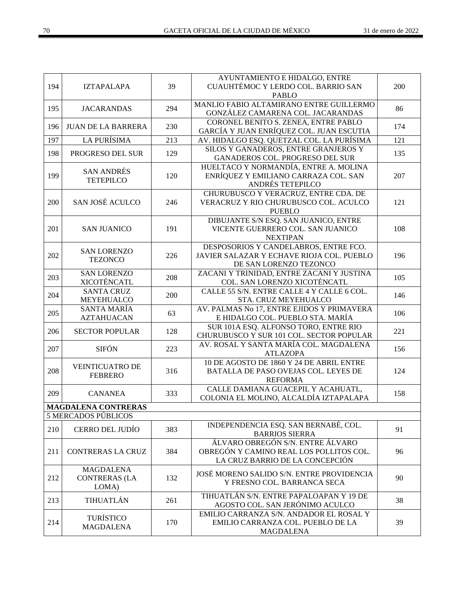| 194 | <b>IZTAPALAPA</b>                                 | 39  | AYUNTAMIENTO E HIDALGO, ENTRE<br>CUAUHTÉMOC Y LERDO COL. BARRIO SAN                                            | 200              |
|-----|---------------------------------------------------|-----|----------------------------------------------------------------------------------------------------------------|------------------|
|     |                                                   |     | <b>PABLO</b>                                                                                                   |                  |
| 195 | <b>JACARANDAS</b>                                 | 294 | MANLIO FABIO ALTAMIRANO ENTRE GUILLERMO<br>GONZÁLEZ CAMARENA COL. JACARANDAS                                   | 86               |
| 196 | <b>JUAN DE LA BARRERA</b>                         | 230 | CORONEL BENITO S. ZENEA, ENTRE PABLO<br>GARCÍA Y JUAN ENRÍQUEZ COL. JUAN ESCUTIA                               | 174              |
| 197 | <b>LA PURÍSIMA</b>                                | 213 | AV. HIDALGO ESQ. QUETZAL COL. LA PURÍSIMA                                                                      | $\overline{121}$ |
|     |                                                   |     | SILOS Y GANADEROS, ENTRE GRANJEROS Y                                                                           |                  |
| 198 | PROGRESO DEL SUR                                  | 129 | GANADEROS COL. PROGRESO DEL SUR                                                                                | 135              |
| 199 | <b>SAN ANDRÉS</b><br><b>TETEPILCO</b>             | 120 | HUELTACO Y NORMANDÍA, ENTRE A. MOLINA<br>ENRÍQUEZ Y EMILIANO CARRAZA COL. SAN<br>ANDRÉS TETEPILCO              | 207              |
|     |                                                   |     |                                                                                                                |                  |
| 200 | SAN JOSÉ ACULCO                                   | 246 | CHURUBUSCO Y VERACRUZ, ENTRE CDA. DE<br>VERACRUZ Y RIO CHURUBUSCO COL. ACULCO<br><b>PUEBLO</b>                 | 121              |
| 201 | <b>SAN JUANICO</b>                                | 191 | DIBUJANTE S/N ESQ. SAN JUANICO, ENTRE<br>VICENTE GUERRERO COL. SAN JUANICO                                     | 108              |
|     |                                                   |     | <b>NEXTIPAN</b>                                                                                                |                  |
|     |                                                   |     | DESPOSORIOS Y CANDELABROS, ENTRE FCO.                                                                          |                  |
| 202 | <b>SAN LORENZO</b>                                | 226 | JAVIER SALAZAR Y ECHAVE RIOJA COL. PUEBLO                                                                      | 196              |
|     | <b>TEZONCO</b>                                    |     | DE SAN LORENZO TEZONCO                                                                                         |                  |
|     | <b>SAN LORENZO</b>                                |     | ZACANI Y TRINIDAD, ENTRE ZACANI Y JUSTINA                                                                      |                  |
| 203 | XICOTÉNCATL                                       | 208 | COL. SAN LORENZO XICOTÉNCATL                                                                                   | 105              |
|     | <b>SANTA CRUZ</b>                                 |     | CALLE 55 S/N. ENTRE CALLE 4 Y CALLE 6 COL.                                                                     |                  |
| 204 | MEYEHUALCO                                        | 200 | STA. CRUZ MEYEHUALCO                                                                                           | 146              |
|     | <b>SANTA MARÍA</b>                                |     | AV. PALMAS No 17, ENTRE EJIDOS Y PRIMAVERA                                                                     |                  |
| 205 | <b>AZTAHUACAN</b>                                 | 63  | E HIDALGO COL. PUEBLO STA. MARÍA                                                                               | 106              |
| 206 | <b>SECTOR POPULAR</b>                             | 128 | SUR 101A ESQ. ALFONSO TORO, ENTRE RIO                                                                          | 221              |
|     |                                                   |     | CHURUBUSCO Y SUR 101 COL. SECTOR POPULAR                                                                       |                  |
| 207 | <b>SIFÓN</b>                                      | 223 | AV. ROSAL Y SANTA MARÍA COL. MAGDALENA                                                                         | 156              |
|     |                                                   |     | <b>ATLAZOPA</b>                                                                                                |                  |
|     | <b>VEINTICUATRO DE</b>                            |     | 10 DE AGOSTO DE 1860 Y 24 DE ABRIL ENTRE                                                                       |                  |
| 208 | <b>FEBRERO</b>                                    | 316 | BATALLA DE PASO OVEJAS COL. LEYES DE                                                                           | 124              |
|     |                                                   |     | <b>REFORMA</b>                                                                                                 |                  |
| 209 | <b>CANANEA</b>                                    | 333 | CALLE DAMIANA GUACEPIL Y ACAHUATL,<br>COLONIA EL MOLINO, ALCALDÍA IZTAPALAPA                                   | 158              |
|     | <b>MAGDALENA CONTRERAS</b>                        |     |                                                                                                                |                  |
|     | <b>5 MERCADOS PÚBLICOS</b>                        |     |                                                                                                                |                  |
| 210 | <b>CERRO DEL JUDÍO</b>                            | 383 | INDEPENDENCIA ESQ. SAN BERNABÉ, COL.<br><b>BARRIOS SIERRA</b>                                                  | 91               |
| 211 | <b>CONTRERAS LA CRUZ</b>                          | 384 | ÁLVARO OBREGÓN S/N. ENTRE ÁLVARO<br>OBREGÓN Y CAMINO REAL LOS POLLITOS COL.<br>LA CRUZ BARRIO DE LA CONCEPCIÓN | 96               |
| 212 | <b>MAGDALENA</b><br><b>CONTRERAS (LA</b><br>LOMA) | 132 | JOSÉ MORENO SALIDO S/N. ENTRE PROVIDENCIA<br>Y FRESNO COL. BARRANCA SECA                                       | 90               |
| 213 | <b>TIHUATLÁN</b>                                  | 261 | TIHUATLÁN S/N. ENTRE PAPALOAPAN Y 19 DE<br>AGOSTO COL. SAN JERÓNIMO ACULCO                                     | 38               |
| 214 | <b>TURÍSTICO</b><br><b>MAGDALENA</b>              | 170 | EMILIO CARRANZA S/N. ANDADOR EL ROSAL Y<br>EMILIO CARRANZA COL. PUEBLO DE LA<br><b>MAGDALENA</b>               | 39               |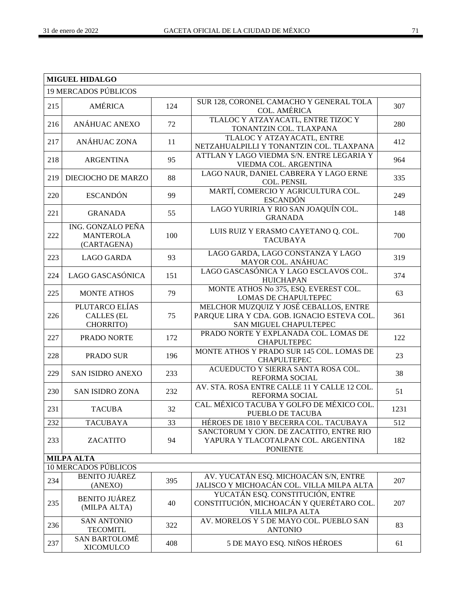|     | <b>MIGUEL HIDALGO</b>                                |     |                                                                                                                 |      |  |
|-----|------------------------------------------------------|-----|-----------------------------------------------------------------------------------------------------------------|------|--|
|     | <b>19 MERCADOS PÚBLICOS</b>                          |     |                                                                                                                 |      |  |
| 215 | <b>AMÉRICA</b>                                       | 124 | SUR 128, CORONEL CAMACHO Y GENERAL TOLA<br><b>COL. AMÉRICA</b>                                                  | 307  |  |
| 216 | ANÁHUAC ANEXO                                        | 72  | TLALOC Y ATZAYACATL, ENTRE TIZOC Y<br>TONANTZIN COL. TLAXPANA                                                   | 280  |  |
| 217 | ANÁHUAC ZONA                                         | 11  | TLALOC Y ATZAYACATL, ENTRE<br>NETZAHUALPILLI Y TONANTZIN COL. TLAXPANA                                          | 412  |  |
| 218 | <b>ARGENTINA</b>                                     | 95  | ATTLAN Y LAGO VIEDMA S/N. ENTRE LEGARIA Y<br>VIEDMA COL. ARGENTINA                                              | 964  |  |
| 219 | DIECIOCHO DE MARZO                                   | 88  | LAGO NAUR, DANIEL CABRERA Y LAGO ERNE<br><b>COL. PENSIL</b>                                                     | 335  |  |
| 220 | <b>ESCANDÓN</b>                                      | 99  | MARTÍ, COMERCIO Y AGRICULTURA COL.<br><b>ESCANDÓN</b>                                                           | 249  |  |
| 221 | <b>GRANADA</b>                                       | 55  | LAGO YURIRIA Y RIO SAN JOAQUÍN COL.<br><b>GRANADA</b>                                                           | 148  |  |
| 222 | ING. GONZALO PEÑA<br><b>MANTEROLA</b><br>(CARTAGENA) | 100 | LUIS RUIZ Y ERASMO CAYETANO Q. COL.<br><b>TACUBAYA</b>                                                          | 700  |  |
| 223 | <b>LAGO GARDA</b>                                    | 93  | LAGO GARDA, LAGO CONSTANZA Y LAGO<br>MAYOR COL. ANÁHUAC                                                         | 319  |  |
| 224 | LAGO GASCASÓNICA                                     | 151 | LAGO GASCASÓNICA Y LAGO ESCLAVOS COL.<br><b>HUICHAPAN</b>                                                       | 374  |  |
| 225 | <b>MONTE ATHOS</b>                                   | 79  | MONTE ATHOS No 375, ESQ. EVEREST COL.<br>LOMAS DE CHAPULTEPEC                                                   | 63   |  |
| 226 | PLUTARCO ELÍAS<br><b>CALLES (EL</b><br>CHORRITO)     | 75  | MELCHOR MUZQUIZ Y JOSÉ CEBALLOS, ENTRE<br>PARQUE LIRA Y CDA. GOB. IGNACIO ESTEVA COL.<br>SAN MIGUEL CHAPULTEPEC | 361  |  |
| 227 | PRADO NORTE                                          | 172 | PRADO NORTE Y EXPLANADA COL. LOMAS DE<br><b>CHAPULTEPEC</b>                                                     | 122  |  |
| 228 | <b>PRADO SUR</b>                                     | 196 | MONTE ATHOS Y PRADO SUR 145 COL. LOMAS DE<br><b>CHAPULTEPEC</b>                                                 | 23   |  |
| 229 | <b>SAN ISIDRO ANEXO</b>                              | 233 | ACUEDUCTO Y SIERRA SANTA ROSA COL.<br>REFORMA SOCIAL                                                            | 38   |  |
| 230 | <b>SAN ISIDRO ZONA</b>                               | 232 | AV. STA. ROSA ENTRE CALLE 11 Y CALLE 12 COL.<br>REFORMA SOCIAL                                                  | 51   |  |
| 231 | <b>TACUBA</b>                                        | 32  | CAL. MÉXICO TACUBA Y GOLFO DE MÉXICO COL.<br>PUEBLO DE TACUBA                                                   | 1231 |  |
| 232 | <b>TACUBAYA</b>                                      | 33  | HÉROES DE 1810 Y BECERRA COL. TACUBAYA                                                                          | 512  |  |
| 233 | ZACATITO                                             | 94  | SANCTORUM Y CJON. DE ZACATITO, ENTRE RIO<br>YAPURA Y TLACOTALPAN COL. ARGENTINA<br><b>PONIENTE</b>              | 182  |  |
|     | <b>MILPA ALTA</b>                                    |     |                                                                                                                 |      |  |
|     | <b>10 MERCADOS PÚBLICOS</b>                          |     |                                                                                                                 |      |  |
| 234 | <b>BENITO JUÁREZ</b><br>(ANEXO)                      | 395 | AV. YUCATÁN ESQ. MICHOACÁN S/N, ENTRE<br>JALISCO Y MICHOACÁN COL. VILLA MILPA ALTA                              | 207  |  |
| 235 | <b>BENITO JUÁREZ</b><br>(MILPA ALTA)                 | 40  | YUCATÁN ESQ. CONSTITUCIÓN, ENTRE<br>CONSTITUCIÓN, MICHOACÁN Y QUERÉTARO COL.<br>VILLA MILPA ALTA                | 207  |  |
| 236 | <b>SAN ANTONIO</b><br><b>TECOMITL</b>                | 322 | AV. MORELOS Y 5 DE MAYO COL. PUEBLO SAN<br><b>ANTONIO</b>                                                       | 83   |  |
| 237 | <b>SAN BARTOLOMÉ</b><br><b>XICOMULCO</b>             | 408 | 5 DE MAYO ESQ. NIÑOS HÉROES                                                                                     | 61   |  |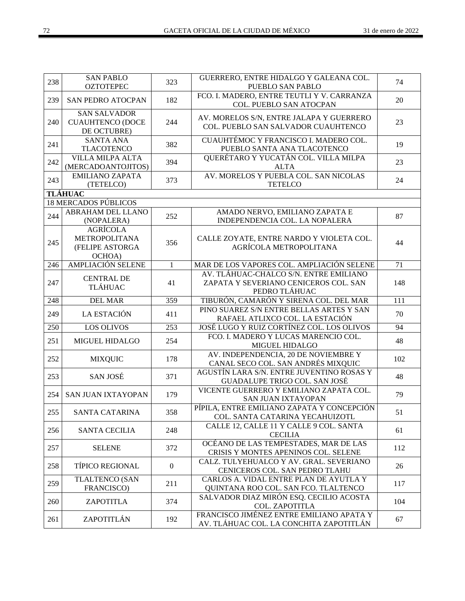| 238 | <b>SAN PABLO</b><br><b>OZTOTEPEC</b>                                 | 323            | GUERRERO, ENTRE HIDALGO Y GALEANA COL.<br>PUEBLO SAN PABLO                                       | 74  |
|-----|----------------------------------------------------------------------|----------------|--------------------------------------------------------------------------------------------------|-----|
| 239 | <b>SAN PEDRO ATOCPAN</b>                                             | 182            | FCO. I. MADERO, ENTRE TEUTLI Y V. CARRANZA<br>COL. PUEBLO SAN ATOCPAN                            | 20  |
| 240 | <b>SAN SALVADOR</b><br><b>CUAUHTENCO (DOCE</b><br>DE OCTUBRE)        | 244            | AV. MORELOS S/N, ENTRE JALAPA Y GUERRERO<br>COL. PUEBLO SAN SALVADOR CUAUHTENCO                  | 23  |
| 241 | <b>SANTA ANA</b><br><b>TLACOTENCO</b>                                | 382            | CUAUHTÉMOC Y FRANCISCO I. MADERO COL.<br>PUEBLO SANTA ANA TLACOTENCO                             | 19  |
| 242 | <b>VILLA MILPA ALTA</b><br>(MERCADOANTOJITOS)                        | 394            | QUERÉTARO Y YUCATÁN COL. VILLA MILPA<br><b>ALTA</b>                                              | 23  |
| 243 | <b>EMILIANO ZAPATA</b><br>(TETELCO)                                  | 373            | AV. MORELOS Y PUEBLA COL. SAN NICOLAS<br><b>TETELCO</b>                                          | 24  |
|     | <b>TLÁHUAC</b>                                                       |                |                                                                                                  |     |
|     | <b>18 MERCADOS PÚBLICOS</b>                                          |                |                                                                                                  |     |
| 244 | <b>ABRAHAM DEL LLANO</b><br>(NOPALERA)                               | 252            | AMADO NERVO, EMILIANO ZAPATA E<br>INDEPENDENCIA COL. LA NOPALERA                                 | 87  |
| 245 | <b>AGRÍCOLA</b><br><b>METROPOLITANA</b><br>(FELIPE ASTORGA<br>OCHOA) | 356            | CALLE ZOYATE, ENTRE NARDO Y VIOLETA COL.<br>AGRÍCOLA METROPOLITANA                               | 44  |
| 246 | <b>AMPLIACIÓN SELENE</b>                                             | $\mathbf{1}$   | MAR DE LOS VAPORES COL. AMPLIACIÓN SELENE                                                        | 71  |
| 247 | <b>CENTRAL DE</b><br><b>TLÁHUAC</b>                                  | 41             | AV. TLÁHUAC-CHALCO S/N. ENTRE EMILIANO<br>ZAPATA Y SEVERIANO CENICEROS COL. SAN<br>PEDRO TLÁHUAC | 148 |
| 248 | <b>DEL MAR</b>                                                       | 359            | TIBURÓN, CAMARÓN Y SIRENA COL. DEL MAR                                                           | 111 |
| 249 | LA ESTACIÓN                                                          | 411            | PINO SUAREZ S/N ENTRE BELLAS ARTES Y SAN<br>RAFAEL ATLIXCO COL. LA ESTACIÓN                      | 70  |
| 250 | <b>LOS OLIVOS</b>                                                    | 253            | JOSÉ LUGO Y RUIZ CORTÍNEZ COL. LOS OLIVOS                                                        | 94  |
| 251 | <b>MIGUEL HIDALGO</b>                                                | 254            | FCO. I. MADERO Y LUCAS MARENCIO COL.<br>MIGUEL HIDALGO                                           | 48  |
| 252 | <b>MIXQUIC</b>                                                       | 178            | AV. INDEPENDENCIA, 20 DE NOVIEMBRE Y<br>CANAL SECO COL. SAN ANDRÉS MIXQUIC                       | 102 |
| 253 | SAN JOSÉ                                                             | 371            | AGUSTÍN LARA S/N. ENTRE JUVENTINO ROSAS Y<br>GUADALUPE TRIGO COL. SAN JOSÉ                       | 48  |
| 254 | <b>SAN JUAN IXTAYOPAN</b>                                            | 179            | VICENTE GUERRERO Y EMILIANO ZAPATA COL.<br><b>SAN JUAN IXTAYOPAN</b>                             | 79  |
| 255 | SANTA CATARINA                                                       | 358            | PÍPILA, ENTRE EMILIANO ZAPATA Y CONCEPCIÓN<br>COL. SANTA CATARINA YECAHUIZOTL                    | 51  |
| 256 | <b>SANTA CECILIA</b>                                                 | 248            | CALLE 12, CALLE 11 Y CALLE 9 COL. SANTA<br><b>CECILIA</b>                                        | 61  |
| 257 | <b>SELENE</b>                                                        | 372            | OCÉANO DE LAS TEMPESTADES, MAR DE LAS<br>CRISIS Y MONTES APENINOS COL. SELENE                    | 112 |
| 258 | <b>TÍPICO REGIONAL</b>                                               | $\overline{0}$ | CALZ. TULYEHUALCO Y AV. GRAL. SEVERIANO<br>CENICEROS COL. SAN PEDRO TLAHU                        | 26  |
| 259 | <b>TLALTENCO (SAN</b><br>FRANCISCO)                                  | 211            | CARLOS A. VIDAL ENTRE PLAN DE AYUTLA Y<br>QUINTANA ROO COL. SAN FCO. TLALTENCO                   | 117 |
| 260 | ZAPOTITLA                                                            | 374            | SALVADOR DIAZ MIRÓN ESQ. CECILIO ACOSTA<br>COL. ZAPOTITLA                                        | 104 |
| 261 | ZAPOTITLÁN                                                           | 192            | FRANCISCO JIMÉNEZ ENTRE EMILIANO APATA Y<br>AV. TLÁHUAC COL. LA CONCHITA ZAPOTITLÁN              | 67  |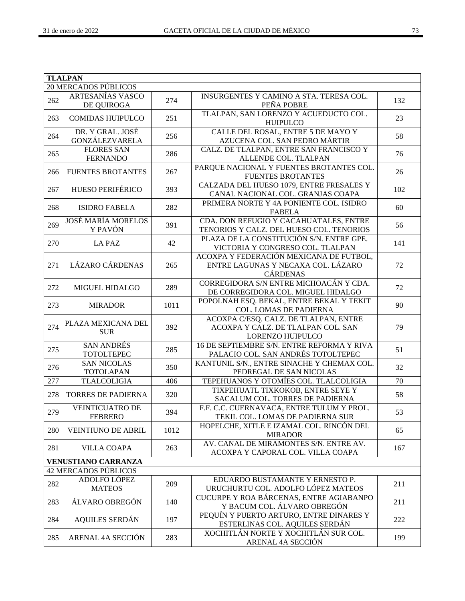|     | <b>TLALPAN</b>                            |      |                                                                                                  |     |  |
|-----|-------------------------------------------|------|--------------------------------------------------------------------------------------------------|-----|--|
|     | <b>20 MERCADOS PÚBLICOS</b>               |      |                                                                                                  |     |  |
| 262 | <b>ARTESANÍAS VASCO</b><br>DE QUIROGA     | 274  | INSURGENTES Y CAMINO A STA. TERESA COL.<br>PEÑA POBRE                                            | 132 |  |
| 263 | <b>COMIDAS HUIPULCO</b>                   | 251  | TLALPAN, SAN LORENZO Y ACUEDUCTO COL.<br><b>HUIPULCO</b>                                         | 23  |  |
| 264 | DR. Y GRAL. JOSÉ<br><b>GONZÁLEZVARELA</b> | 256  | CALLE DEL ROSAL, ENTRE 5 DE MAYO Y<br>AZUCENA COL. SAN PEDRO MÁRTIR                              | 58  |  |
| 265 | <b>FLORES SAN</b><br><b>FERNANDO</b>      | 286  | CALZ. DE TLALPAN, ENTRE SAN FRANCISCO Y<br>ALLENDE COL. TLALPAN                                  | 76  |  |
| 266 | <b>FUENTES BROTANTES</b>                  | 267  | PARQUE NACIONAL Y FUENTES BROTANTES COL.<br><b>FUENTES BROTANTES</b>                             | 26  |  |
| 267 | <b>HUESO PERIFÉRICO</b>                   | 393  | CALZADA DEL HUESO 1079, ENTRE FRESALES Y<br>CANAL NACIONAL COL. GRANJAS COAPA                    | 102 |  |
| 268 | <b>ISIDRO FABELA</b>                      | 282  | PRIMERA NORTE Y 4A PONIENTE COL. ISIDRO<br><b>FABELA</b>                                         | 60  |  |
| 269 | <b>JOSÉ MARÍA MORELOS</b><br>Y PAVÓN      | 391  | CDA. DON REFUGIO Y CACAHUATALES, ENTRE<br>TENORIOS Y CALZ. DEL HUESO COL. TENORIOS               | 56  |  |
| 270 | <b>LA PAZ</b>                             | 42   | PLAZA DE LA CONSTITUCIÓN S/N. ENTRE GPE.<br>VICTORIA Y CONGRESO COL. TLALPAN                     | 141 |  |
| 271 | <b>LÁZARO CÁRDENAS</b>                    | 265  | ACOXPA Y FEDERACIÓN MEXICANA DE FUTBOL,<br>ENTRE LAGUNAS Y NECAXA COL. LÁZARO<br><b>CÁRDENAS</b> | 72  |  |
| 272 | MIGUEL HIDALGO                            | 289  | CORREGIDORA S/N ENTRE MICHOACÁN Y CDA.<br>DE CORREGIDORA COL. MIGUEL HIDALGO                     | 72  |  |
| 273 | <b>MIRADOR</b>                            | 1011 | POPOLNAH ESQ. BEKAL, ENTRE BEKAL Y TEKIT<br>COL. LOMAS DE PADIERNA                               | 90  |  |
| 274 | PLAZA MEXICANA DEL<br><b>SUR</b>          | 392  | ACOXPA C/ESQ. CALZ. DE TLALPAN, ENTRE<br>ACOXPA Y CALZ. DE TLALPAN COL. SAN<br>LORENZO HUIPULCO  | 79  |  |
| 275 | <b>SAN ANDRÉS</b><br><b>TOTOLTEPEC</b>    | 285  | 16 DE SEPTIEMBRE S/N. ENTRE REFORMA Y RIVA<br>PALACIO COL. SAN ANDRÉS TOTOLTEPEC                 | 51  |  |
| 276 | <b>SAN NICOLAS</b><br><b>TOTOLAPAN</b>    | 350  | KANTUNIL S/N., ENTRE SINACHE Y CHEMAX COL.<br>PEDREGAL DE SAN NICOLAS                            | 32  |  |
| 277 | <b>TLALCOLIGIA</b>                        | 406  | TEPEHUANOS Y OTOMÍES COL. TLALCOLIGIA                                                            | 70  |  |
| 278 | TORRES DE PADIERNA                        | 320  | TIXPEHUATL TIXKOKOB, ENTRE SEYE Y<br>SACALUM COL. TORRES DE PADIERNA                             | 58  |  |
| 279 | <b>VEINTICUATRO DE</b><br><b>FEBRERO</b>  | 394  | F.F. C.C. CUERNAVACA, ENTRE TULUM Y PROL.<br>TEKIL COL. LOMAS DE PADIERNA SUR                    | 53  |  |
| 280 | <b>VEINTIUNO DE ABRIL</b>                 | 1012 | HOPELCHE, XITLE E IZAMAL COL. RINCÓN DEL<br><b>MIRADOR</b>                                       | 65  |  |
| 281 | <b>VILLA COAPA</b>                        | 263  | AV. CANAL DE MIRAMONTES S/N. ENTRE AV.<br>ACOXPA Y CAPORAL COL. VILLA COAPA                      | 167 |  |
|     | <b>VENUSTIANO CARRANZA</b>                |      |                                                                                                  |     |  |
|     | <b>42 MERCADOS PÚBLICOS</b>               |      |                                                                                                  |     |  |
| 282 | ADOLFO LÓPEZ<br><b>MATEOS</b>             | 209  | EDUARDO BUSTAMANTE Y ERNESTO P.<br>URUCHURTU COL. ADOLFO LÓPEZ MATEOS                            | 211 |  |
| 283 | ÁLVARO OBREGÓN                            | 140  | CUCURPE Y ROA BÁRCENAS, ENTRE AGIABANPO<br>Y BACUM COL. ÁLVARO OBREGÓN                           | 211 |  |
| 284 | <b>AQUILES SERDÁN</b>                     | 197  | PEQUÍN Y PUERTO ARTURO, ENTRE DINARES Y<br>ESTERLINAS COL. AQUILES SERDÁN                        | 222 |  |
| 285 | ARENAL 4A SECCIÓN                         | 283  | XOCHITLÁN NORTE Y XOCHITLÁN SUR COL.<br>ARENAL 4A SECCIÓN                                        | 199 |  |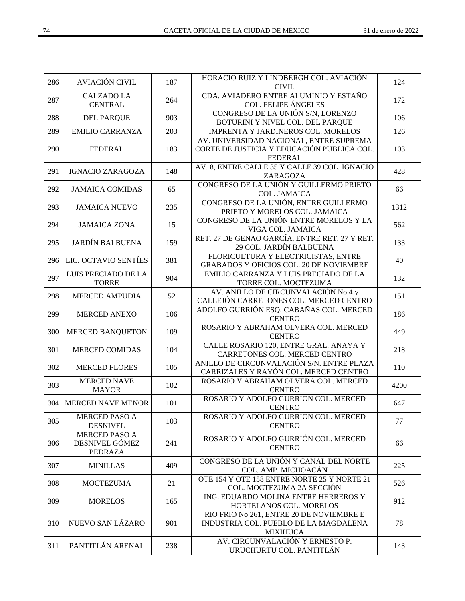| 286 | <b>AVIACIÓN CIVIL</b>                             | 187 | HORACIO RUIZ Y LINDBERGH COL. AVIACIÓN<br><b>CIVIL</b>                                                  | 124  |
|-----|---------------------------------------------------|-----|---------------------------------------------------------------------------------------------------------|------|
| 287 | <b>CALZADO LA</b><br><b>CENTRAL</b>               | 264 | CDA. AVIADERO ENTRE ALUMINIO Y ESTAÑO<br><b>COL. FELIPE ÁNGELES</b>                                     | 172  |
| 288 | <b>DEL PARQUE</b>                                 | 903 | CONGRESO DE LA UNIÓN S/N, LORENZO<br>BOTURINI Y NIVEL COL. DEL PARQUE                                   | 106  |
| 289 | <b>EMILIO CARRANZA</b>                            | 203 | IMPRENTA Y JARDINEROS COL. MORELOS                                                                      | 126  |
| 290 | <b>FEDERAL</b>                                    | 183 | AV. UNIVERSIDAD NACIONAL, ENTRE SUPREMA<br>CORTE DE JUSTICIA Y EDUCACIÓN PUBLICA COL.<br><b>FEDERAL</b> | 103  |
| 291 | <b>IGNACIO ZARAGOZA</b>                           | 148 | AV. 8, ENTRE CALLE 35 Y CALLE 39 COL. IGNACIO<br>ZARAGOZA                                               | 428  |
| 292 | <b>JAMAICA COMIDAS</b>                            | 65  | CONGRESO DE LA UNIÓN Y GUILLERMO PRIETO<br>COL. JAMAICA                                                 | 66   |
| 293 | <b>JAMAICA NUEVO</b>                              | 235 | CONGRESO DE LA UNIÓN, ENTRE GUILLERMO<br>PRIETO Y MORELOS COL. JAMAICA                                  | 1312 |
| 294 | <b>JAMAICA ZONA</b>                               | 15  | CONGRESO DE LA UNIÓN ENTRE MORELOS Y LA<br>VIGA COL. JAMAICA                                            | 562  |
| 295 | <b>JARDÍN BALBUENA</b>                            | 159 | RET. 27 DE GENAO GARCÍA, ENTRE RET. 27 Y RET.<br>29 COL. JARDÍN BALBUENA                                | 133  |
| 296 | LIC. OCTAVIO SENTÍES                              | 381 | FLORICULTURA Y ELECTRICISTAS, ENTRE<br>GRABADOS Y OFICIOS COL. 20 DE NOVIEMBRE                          | 40   |
| 297 | LUIS PRECIADO DE LA<br><b>TORRE</b>               | 904 | EMILIO CARRANZA Y LUIS PRECIADO DE LA<br>TORRE COL. MOCTEZUMA                                           | 132  |
| 298 | <b>MERCED AMPUDIA</b>                             | 52  | AV. ANILLO DE CIRCUNVALACIÓN No 4 y<br>CALLEJÓN CARRETONES COL. MERCED CENTRO                           | 151  |
| 299 | <b>MERCED ANEXO</b>                               | 106 | ADOLFO GURRIÓN ESQ. CABAÑAS COL. MERCED<br><b>CENTRO</b>                                                | 186  |
| 300 | MERCED BANQUETON                                  | 109 | ROSARIO Y ABRAHAM OLVERA COL. MERCED<br><b>CENTRO</b>                                                   | 449  |
| 301 | <b>MERCED COMIDAS</b>                             | 104 | CALLE ROSARIO 120, ENTRE GRAL. ANAYA Y<br>CARRETONES COL. MERCED CENTRO                                 | 218  |
| 302 | <b>MERCED FLORES</b>                              | 105 | ANILLO DE CIRCUNVALACIÓN S/N. ENTRE PLAZA<br>CARRIZALES Y RAYÓN COL. MERCED CENTRO                      | 110  |
| 303 | <b>MERCED NAVE</b><br><b>MAYOR</b>                | 102 | ROSARIO Y ABRAHAM OLVERA COL. MERCED<br><b>CENTRO</b>                                                   | 4200 |
| 304 | <b>MERCED NAVE MENOR</b>                          | 101 | ROSARIO Y ADOLFO GURRIÓN COL. MERCED<br><b>CENTRO</b>                                                   | 647  |
| 305 | <b>MERCED PASO A</b><br><b>DESNIVEL</b>           | 103 | ROSARIO Y ADOLFO GURRIÓN COL. MERCED<br><b>CENTRO</b>                                                   | 77   |
| 306 | MERCED PASO A<br>DESNIVEL GÓMEZ<br><b>PEDRAZA</b> | 241 | ROSARIO Y ADOLFO GURRIÓN COL. MERCED<br><b>CENTRO</b>                                                   | 66   |
| 307 | <b>MINILLAS</b>                                   | 409 | CONGRESO DE LA UNIÓN Y CANAL DEL NORTE<br>COL. AMP. MICHOACÁN                                           | 225  |
| 308 | <b>MOCTEZUMA</b>                                  | 21  | OTE 154 Y OTE 158 ENTRE NORTE 25 Y NORTE 21<br>COL. MOCTEZUMA 2A SECCIÓN                                | 526  |
| 309 | <b>MORELOS</b>                                    | 165 | ING. EDUARDO MOLINA ENTRE HERREROS Y<br>HORTELANOS COL. MORELOS                                         | 912  |
| 310 | NUEVO SAN LÁZARO                                  | 901 | RIO FRIO No 261, ENTRE 20 DE NOVIEMBRE E<br>INDUSTRIA COL. PUEBLO DE LA MAGDALENA<br><b>MIXIHUCA</b>    | 78   |
| 311 | PANTITLÁN ARENAL                                  | 238 | AV. CIRCUNVALACIÓN Y ERNESTO P.<br>URUCHURTU COL. PANTITLÁN                                             | 143  |